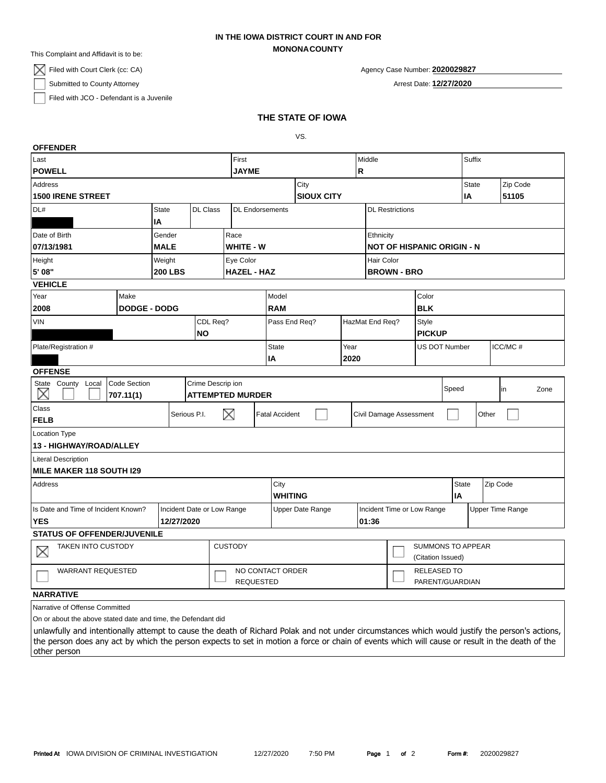## **MONONACOUNTY IN THE IOWA DISTRICT COURT IN AND FOR**

This Complaint and Affidavit is to be:

 $\boxtimes$  Filed with Court Clerk (cc: CA)

Submitted to County Attorney

Filed with JCO - Defendant is a Juvenile

|  | Agency Case Number: 2020029827 |
|--|--------------------------------|
|  |                                |

Arrest Date: **12/27/2020**

# **THE STATE OF IOWA**

VS.

| <b>OFFENDER</b>                                                   |                                  |              |                        |                         |                       |                                   |                                               |                         |                                |                  |       |       |      |
|-------------------------------------------------------------------|----------------------------------|--------------|------------------------|-------------------------|-----------------------|-----------------------------------|-----------------------------------------------|-------------------------|--------------------------------|------------------|-------|-------|------|
| Last                                                              |                                  |              | First                  |                         |                       | Middle                            |                                               |                         | Suffix                         |                  |       |       |      |
| <b>POWELL</b>                                                     |                                  |              | <b>JAYME</b>           | R                       |                       |                                   |                                               |                         |                                |                  |       |       |      |
| Address                                                           |                                  |              |                        | City                    |                       |                                   |                                               |                         | <b>State</b>                   | Zip Code         |       |       |      |
| <b>1500 IRENE STREET</b>                                          |                                  |              |                        |                         |                       | <b>SIOUX CITY</b>                 |                                               |                         |                                | ΙA               |       | 51105 |      |
| DL#<br><b>State</b><br><b>DL Class</b>                            |                                  |              | <b>DL</b> Endorsements |                         |                       | <b>DL Restrictions</b>            |                                               |                         |                                |                  |       |       |      |
| IA                                                                |                                  |              |                        |                         |                       |                                   |                                               |                         |                                |                  |       |       |      |
| Date of Birth<br>Gender                                           |                                  |              | Race                   |                         |                       | Ethnicity                         |                                               |                         |                                |                  |       |       |      |
| 07/13/1981<br><b>MALE</b>                                         |                                  |              | WHITE - W              |                         |                       | <b>NOT OF HISPANIC ORIGIN - N</b> |                                               |                         |                                |                  |       |       |      |
| Weight<br>Height                                                  |                                  |              | Eye Color              |                         |                       | Hair Color                        |                                               |                         |                                |                  |       |       |      |
|                                                                   | 5' 08"<br><b>200 LBS</b>         |              |                        | <b>HAZEL - HAZ</b>      |                       |                                   | <b>BROWN - BRO</b>                            |                         |                                |                  |       |       |      |
| <b>VEHICLE</b>                                                    |                                  |              |                        |                         |                       |                                   |                                               |                         |                                |                  |       |       |      |
| Year<br>Make                                                      |                                  |              | Model                  |                         |                       | Color                             |                                               |                         |                                |                  |       |       |      |
| 2008                                                              | <b>DODGE - DODG</b>              |              |                        | <b>RAM</b>              |                       |                                   |                                               | <b>BLK</b>              |                                |                  |       |       |      |
|                                                                   | <b>VIN</b><br>CDL Req?           |              |                        | Pass End Req?           |                       |                                   | HazMat End Req?                               |                         | Style                          |                  |       |       |      |
|                                                                   |                                  |              | <b>NO</b>              |                         |                       |                                   |                                               |                         | <b>PICKUP</b>                  |                  |       |       |      |
| Plate/Registration #                                              |                                  |              |                        | <b>State</b>            | Year                  |                                   | US DOT Number<br>ICC/MC#                      |                         |                                |                  |       |       |      |
|                                                                   |                                  |              |                        | IA                      |                       | 2020                              |                                               |                         |                                |                  |       |       |      |
| <b>OFFENSE</b>                                                    |                                  |              |                        |                         |                       |                                   |                                               |                         |                                |                  |       |       |      |
| State County Local<br>X                                           | <b>Code Section</b><br>707.11(1) |              | Crime Descrip ion      | <b>ATTEMPTED MURDER</b> |                       |                                   |                                               |                         |                                | Speed            |       | in    | Zone |
| Class                                                             |                                  | Serious P.I. |                        |                         | <b>Fatal Accident</b> |                                   |                                               |                         |                                |                  | Other |       |      |
| <b>FELB</b>                                                       |                                  |              |                        | X                       |                       |                                   |                                               | Civil Damage Assessment |                                |                  |       |       |      |
| <b>Location Type</b>                                              |                                  |              |                        |                         |                       |                                   |                                               |                         |                                |                  |       |       |      |
| 13 - HIGHWAY/ROAD/ALLEY                                           |                                  |              |                        |                         |                       |                                   |                                               |                         |                                |                  |       |       |      |
| <b>Literal Description</b>                                        |                                  |              |                        |                         |                       |                                   |                                               |                         |                                |                  |       |       |      |
| <b>MILE MAKER 118 SOUTH I29</b>                                   |                                  |              |                        |                         |                       |                                   |                                               |                         |                                |                  |       |       |      |
| Address                                                           |                                  |              |                        | City<br><b>WHITING</b>  |                       |                                   |                                               |                         | <b>State</b><br>Zip Code<br>IA |                  |       |       |      |
| Is Date and Time of Incident Known?<br>Incident Date or Low Range |                                  |              | Upper Date Range       |                         |                       |                                   | Incident Time or Low Range                    |                         |                                | Upper Time Range |       |       |      |
| <b>YES</b><br>12/27/2020                                          |                                  |              |                        | 01:36                   |                       |                                   |                                               |                         |                                |                  |       |       |      |
| <b>STATUS OF OFFENDER/JUVENILE</b>                                |                                  |              |                        |                         |                       |                                   |                                               |                         |                                |                  |       |       |      |
| <b>CUSTODY</b><br><b>TAKEN INTO CUSTODY</b><br>$\times$           |                                  |              |                        |                         |                       |                                   | <b>SUMMONS TO APPEAR</b><br>(Citation Issued) |                         |                                |                  |       |       |      |
| <b>WARRANT REQUESTED</b><br><b>REQUESTED</b>                      |                                  |              | NO CONTACT ORDER       |                         |                       |                                   | <b>RELEASED TO</b><br>PARENT/GUARDIAN         |                         |                                |                  |       |       |      |
| <b>NARRATIVE</b>                                                  |                                  |              |                        |                         |                       |                                   |                                               |                         |                                |                  |       |       |      |
| Narrative of Offense Committed                                    |                                  |              |                        |                         |                       |                                   |                                               |                         |                                |                  |       |       |      |

On or about the above stated date and time, the Defendant did

unlawfully and intentionally attempt to cause the death of Richard Polak and not under circumstances which would justify the person's actions, the person does any act by which the person expects to set in motion a force or chain of events which will cause or result in the death of the other person